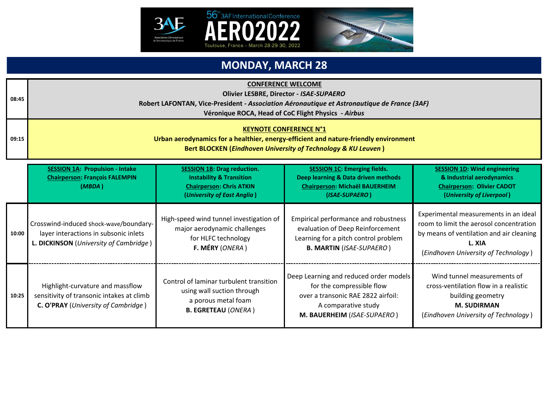

**08:45**

**09:15**



### **MONDAY, MARCH 28**

ERO

#### **CONFERENCE WELCOME**

**Olivier LESBRE, Director -** *ISAE-SUPAERO*

**Robert LAFONTAN, Vice-President** *- Association Aéronautique et Astronautique de France (3AF)*

**Véronique ROCA, Head of CoC Flight Physics** *- Airbus*

#### **KEYNOTE CONFERENCE N°1**

**Urban aerodynamics for a healthier, energy-efficient and nature-friendly environment Bert BLOCKEN (***Eindhoven University of Technology & KU Leuven* **)**

|       | <b>SESSION 1A: Propulsion - Intake</b><br><b>Chairperson: François FALEMPIN</b><br>(MBDA)                                   | <b>SESSION 1B: Drag reduction.</b><br><b>Instability &amp; Transition</b><br><b>Chairperson: Chris ATKIN</b><br>(University of East Anglia) | <b>SESSION 1C: Emerging fields.</b><br>Deep learning & Data driven methods<br><b>Chairperson: Michaël BAUERHEIM</b><br>(ISAE-SUPAERO)                           | <b>SESSION 1D: Wind engineering</b><br>& Industrial aerodynamics<br><b>Chairperson: Olivier CADOT</b><br>(University of Liverpool)                                             |
|-------|-----------------------------------------------------------------------------------------------------------------------------|---------------------------------------------------------------------------------------------------------------------------------------------|-----------------------------------------------------------------------------------------------------------------------------------------------------------------|--------------------------------------------------------------------------------------------------------------------------------------------------------------------------------|
| 10:00 | Crosswind-induced shock-wave/boundary-<br>layer interactions in subsonic inlets<br>L. DICKINSON (University of Cambridge)   | High-speed wind tunnel investigation of<br>major aerodynamic challenges<br>for HLFC technology<br>F. MÉRY (ONERA)                           | Empirical performance and robustness<br>evaluation of Deep Reinforcement<br>Learning for a pitch control problem<br><b>B. MARTIN (ISAE-SUPAERO)</b>             | Experimental measurements in an ideal<br>room to limit the aerosol concentration<br>by means of ventilation and air cleaning<br>L. XIA<br>(Eindhoven University of Technology) |
| 10:25 | Highlight-curvature and massflow<br>sensitivity of transonic intakes at climb<br><b>C. O'PRAY</b> (University of Cambridge) | Control of laminar turbulent transition<br>using wall suction through<br>a porous metal foam<br><b>B. EGRETEAU (ONERA)</b>                  | Deep Learning and reduced order models<br>for the compressible flow<br>over a transonic RAE 2822 airfoil:<br>A comparative study<br>M. BAUERHEIM (ISAE-SUPAERO) | Wind tunnel measurements of<br>cross-ventilation flow in a realistic<br>building geometry<br><b>M. SUDIRMAN</b><br>(Eindhoven University of Technology)                        |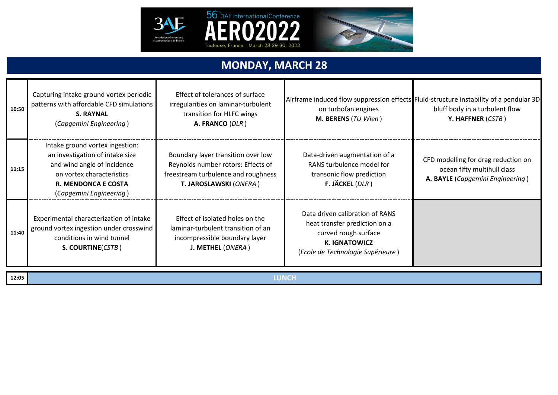



### **MONDAY, MARCH 28**

| 10:50 | Capturing intake ground vortex periodic<br>patterns with affordable CFD simulations<br><b>S. RAYNAL</b><br>(Capgemini Engineering)                                                                                                                                                          | Effect of tolerances of surface<br>irregularities on laminar-turbulent<br>transition for HLFC wings<br>A. FRANCO (DLR)                    | on turbofan engines<br>M. BERENS (TU Wien)                                                                                    | Airframe induced flow suppression effects Fluid-structure instability of a pendular 3D<br>bluff body in a turbulent flow<br>Y. HAFFNER (CSTB) |
|-------|---------------------------------------------------------------------------------------------------------------------------------------------------------------------------------------------------------------------------------------------------------------------------------------------|-------------------------------------------------------------------------------------------------------------------------------------------|-------------------------------------------------------------------------------------------------------------------------------|-----------------------------------------------------------------------------------------------------------------------------------------------|
| 11:15 | Intake ground vortex ingestion:<br>an investigation of intake size<br>and wind angle of incidence<br>on vortex characteristics<br><b>R. MENDONCA E COSTA</b><br>(Capgemini Engineering)                                                                                                     | Boundary layer transition over low<br>Reynolds number rotors: Effects of<br>freestream turbulence and roughness<br>T. JAROSLAWSKI (ONERA) | Data-driven augmentation of a<br>RANS turbulence model for<br>transonic flow prediction<br>F. JÄCKEL $(DLR)$                  | CFD modelling for drag reduction on<br>ocean fifty multihull class<br>A. BAYLE (Capgemini Engineering)                                        |
| 11:40 | Effect of isolated holes on the<br>Experimental characterization of intake<br>ground vortex ingestion under crosswind<br>laminar-turbulent transition of an<br>conditions in wind tunnel<br>incompressible boundary layer<br><b>K. IGNATOWICZ</b><br>S. COURTINE(CSTB)<br>J. METHEL (ONERA) |                                                                                                                                           | Data driven calibration of RANS<br>heat transfer prediction on a<br>curved rough surface<br>(Ecole de Technologie Supérieure) |                                                                                                                                               |
| 12:05 | <b>LUNCH</b>                                                                                                                                                                                                                                                                                |                                                                                                                                           |                                                                                                                               |                                                                                                                                               |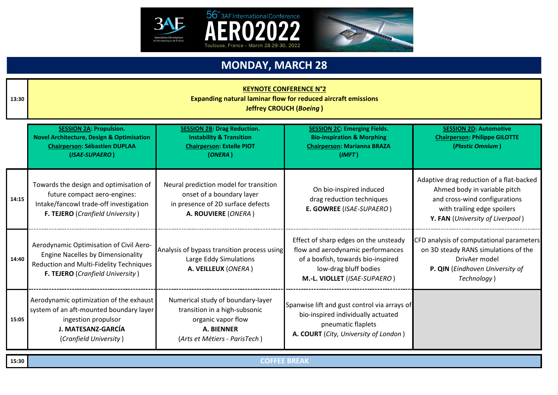



## **MONDAY, MARCH 28**

| 13:30 | <b>KEYNOTE CONFERENCE N°2</b><br><b>Expanding natural laminar flow for reduced aircraft emissions</b><br><b>Jeffrey CROUCH (Boeing)</b>                                                                                                                                                                                                                                                                                                                                                                   |                                                                                                                                         |                                                                                                                                                                           |                                                                                                                                                                              |
|-------|-----------------------------------------------------------------------------------------------------------------------------------------------------------------------------------------------------------------------------------------------------------------------------------------------------------------------------------------------------------------------------------------------------------------------------------------------------------------------------------------------------------|-----------------------------------------------------------------------------------------------------------------------------------------|---------------------------------------------------------------------------------------------------------------------------------------------------------------------------|------------------------------------------------------------------------------------------------------------------------------------------------------------------------------|
|       | <b>SESSION 2A: Propulsion.</b><br><b>SESSION 2B: Drag Reduction.</b><br><b>SESSION 2C: Emerging Fields.</b><br><b>SESSION 2D: Automotive</b><br><b>Novel Architecture, Design &amp; Optimisation</b><br><b>Instability &amp; Transition</b><br><b>Bio-inspiration &amp; Morphing</b><br><b>Chairperson: Philippe GILOTTE</b><br><b>Chairperson: Sébastien DUPLAA</b><br><b>Chairperson: Estelle PIOT</b><br><b>Chairperson: Marianna BRAZA</b><br>(Plastic Omnium)<br>(ISAE-SUPAERO)<br>(ONERA)<br>(IMFT) |                                                                                                                                         |                                                                                                                                                                           |                                                                                                                                                                              |
| 14:15 | Towards the design and optimisation of<br>future compact aero-engines:<br>Intake/fancowl trade-off investigation<br>F. TEJERO (Cranfield University)                                                                                                                                                                                                                                                                                                                                                      | Neural prediction model for transition<br>onset of a boundary layer<br>in presence of 2D surface defects<br>A. ROUVIERE (ONERA)         | On bio-inspired induced<br>drag reduction techniques<br>E. GOWREE (ISAE-SUPAERO)                                                                                          | Adaptive drag reduction of a flat-backed<br>Ahmed body in variable pitch<br>and cross-wind configurations<br>with trailing edge spoilers<br>Y. FAN (University of Liverpool) |
| 14:40 | Aerodynamic Optimisation of Civil Aero-<br><b>Engine Nacelles by Dimensionality</b><br>Reduction and Multi-Fidelity Techniques<br>F. TEJERO (Cranfield University)                                                                                                                                                                                                                                                                                                                                        | Analysis of bypass transition process using<br>Large Eddy Simulations<br>A. VEILLEUX (ONERA)                                            | Effect of sharp edges on the unsteady<br>flow and aerodynamic performances<br>of a boxfish, towards bio-inspired<br>low-drag bluff bodies<br>M.-L. VIOLLET (ISAE-SUPAERO) | CFD analysis of computational parameters<br>on 3D steady RANS simulations of the<br>DrivAer model<br>P. QIN (Eindhoven University of<br>Technology)                          |
| 15:05 | Aerodynamic optimization of the exhaust<br>system of an aft-mounted boundary layer<br>ingestion propulsor<br>J. MATESANZ-GARCÍA<br>(Cranfield University)                                                                                                                                                                                                                                                                                                                                                 | Numerical study of boundary-layer<br>transition in a high-subsonic<br>organic vapor flow<br>A. BIENNER<br>(Arts et Métiers - ParisTech) | Spanwise lift and gust control via arrays of<br>bio-inspired individually actuated<br>pneumatic flaplets<br>A. COURT (City, University of London)                         |                                                                                                                                                                              |
| 15:30 | <b>COFFEE BREAK</b>                                                                                                                                                                                                                                                                                                                                                                                                                                                                                       |                                                                                                                                         |                                                                                                                                                                           |                                                                                                                                                                              |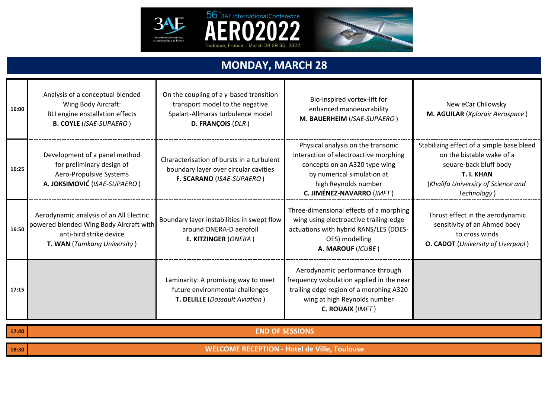



## **MONDAY, MARCH 28**

Toulouse, France - March 28-29-30, 2022

| 16:00 | Analysis of a conceptual blended<br>Wing Body Aircraft:<br>BLI engine enstallation effects<br><b>B. COYLE (ISAE-SUPAERO)</b>                 | On the coupling of a $\gamma$ -based transition<br>transport model to the negative<br>Spalart-Allmaras turbulence model<br>D. FRANÇOIS (DLR) | Bio-inspired vortex-lift for<br>enhanced manoeuvrability<br>M. BAUERHEIM (ISAE-SUPAERO)                                                                                                         | New eCar Chilowsky<br>M. AGUILAR (Xplorair Aerospace)                                                                                                               |
|-------|----------------------------------------------------------------------------------------------------------------------------------------------|----------------------------------------------------------------------------------------------------------------------------------------------|-------------------------------------------------------------------------------------------------------------------------------------------------------------------------------------------------|---------------------------------------------------------------------------------------------------------------------------------------------------------------------|
| 16:25 | Development of a panel method<br>for preliminary design of<br>Aero-Propulsive Systems<br>A. JOKSIMOVIĆ (ISAE-SUPAERO)                        | Characterisation of bursts in a turbulent<br>boundary layer over circular cavities<br>F. SCARANO (ISAE-SUPAERO)                              | Physical analysis on the transonic<br>interaction of electroactive morphing<br>concepts on an A320 type wing<br>by numerical simulation at<br>high Reynolds number<br>C. JIMÉNEZ-NAVARRO (IMFT) | Stabilizing effect of a simple base bleed<br>on the bistable wake of a<br>square-back bluff body<br>T. I. KHAN<br>(Khalifa University of Science and<br>Technology) |
| 16:50 | Aerodynamic analysis of an All Electric<br>powered blended Wing Body Aircraft with<br>anti-bird strike device<br>T. WAN (Tamkang University) | Boundary layer instabilities in swept flow<br>around ONERA-D aerofoil<br>E. KITZINGER (ONERA)                                                | Three-dimensional effects of a morphing<br>wing using electroactive trailing-edge<br>actuations with hybrid RANS/LES (DDES-<br>OES) modelling<br>A. MAROUF (ICUBE)                              | Thrust effect in the aerodynamic<br>sensitivity of an Ahmed body<br>to cross winds<br><b>O. CADOT</b> (University of Liverpool)                                     |
| 17:15 | Laminarity: A promising way to meet<br>future environmental challenges<br>T. DELILLE (Dassault Aviation)                                     |                                                                                                                                              | Aerodynamic performance through<br>frequency wobulation applied in the near<br>trailing edge region of a morphing A320<br>wing at high Reynolds number<br>C. ROUAIX (IMFT)                      |                                                                                                                                                                     |
| 17:40 | <b>END OF SESSIONS</b>                                                                                                                       |                                                                                                                                              |                                                                                                                                                                                                 |                                                                                                                                                                     |
| 18:30 | <b>WELCOME RECEPTION - Hotel de Ville, Toulouse</b>                                                                                          |                                                                                                                                              |                                                                                                                                                                                                 |                                                                                                                                                                     |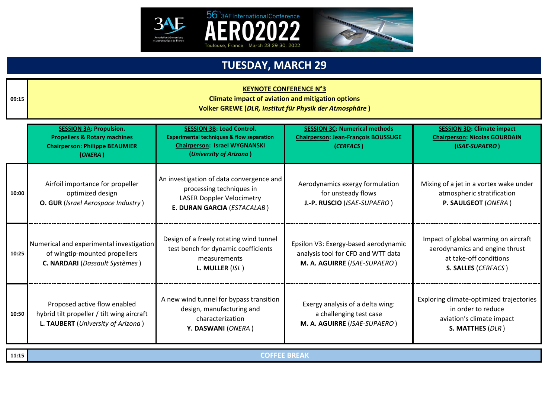



#### **KEYNOTE CONFERENCE N°3**

**Climate impact of aviation and mitigation options Volker GREWE (***DLR, Institut für Physik der Atmosphäre* **)**

|       | <b>SESSION 3A: Propulsion.</b><br><b>Propellers &amp; Rotary machines</b><br><b>Chairperson: Philippe BEAUMIER</b><br>(ONERA)                                                                                                      | <b>SESSION 3B: Load Control.</b><br><b>Experimental techniques &amp; flow separation</b><br><b>Chairperson: Israel WYGNANSKI</b><br>(University of Arizona) | <b>SESSION 3C: Numerical methods</b><br><b>Chairperson: Jean-François BOUSSUGE</b><br>(CERFACS)            | <b>SESSION 3D: Climate impact</b><br><b>Chairperson: Nicolas GOURDAIN</b><br>(ISAE-SUPAERO)                             |
|-------|------------------------------------------------------------------------------------------------------------------------------------------------------------------------------------------------------------------------------------|-------------------------------------------------------------------------------------------------------------------------------------------------------------|------------------------------------------------------------------------------------------------------------|-------------------------------------------------------------------------------------------------------------------------|
| 10:00 | Airfoil importance for propeller<br>optimized design<br>O. GUR (Israel Aerospace Industry)                                                                                                                                         | An investigation of data convergence and<br>processing techniques in<br><b>LASER Doppler Velocimetry</b><br>E. DURAN GARCIA (ESTACALAB)                     | Aerodynamics exergy formulation<br>for unsteady flows<br>J.-P. RUSCIO (ISAE-SUPAERO)                       | Mixing of a jet in a vortex wake under<br>atmospheric stratification<br>P. SAULGEOT (ONERA)                             |
| 10:25 | Numerical and experimental investigation<br>of wingtip-mounted propellers<br>C. NARDARI (Dassault Systèmes)                                                                                                                        | Design of a freely rotating wind tunnel<br>test bench for dynamic coefficients<br>measurements<br>L. MULLER (ISL)                                           | Epsilon V3: Exergy-based aerodynamic<br>analysis tool for CFD and WTT data<br>M. A. AGUIRRE (ISAE-SUPAERO) | Impact of global warming on aircraft<br>aerodynamics and engine thrust<br>at take-off conditions<br>S. SALLES (CERFACS) |
| 10:50 | A new wind tunnel for bypass transition<br>Proposed active flow enabled<br>design, manufacturing and<br>hybrid tilt propeller / tilt wing aircraft<br>characterization<br>L. TAUBERT (University of Arizona)<br>Y. DASWANI (ONERA) |                                                                                                                                                             | Exergy analysis of a delta wing:<br>a challenging test case<br>M. A. AGUIRRE (ISAE-SUPAERO)                | Exploring climate-optimized trajectories<br>in order to reduce<br>aviation's climate impact<br>S. MATTHES (DLR)         |
| 11:15 | <b>COFFEE BREAK</b>                                                                                                                                                                                                                |                                                                                                                                                             |                                                                                                            |                                                                                                                         |

**09:15**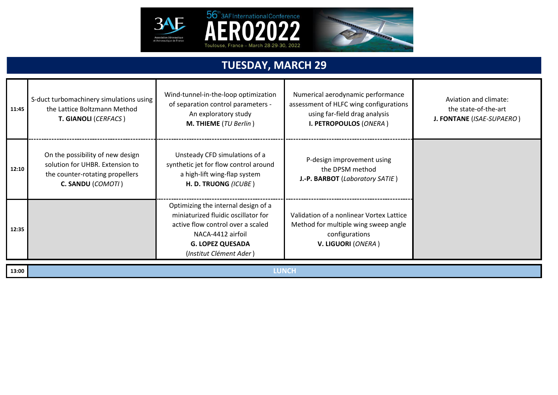



| 11:45 | S-duct turbomachinery simulations using<br>the Lattice Boltzmann Method<br>T. GIANOLI (CERFACS)                                                                                                                                                                                                                        | Wind-tunnel-in-the-loop optimization<br>of separation control parameters -<br>An exploratory study<br>M. THIEME (TU Berlin)    | Numerical aerodynamic performance<br>assessment of HLFC wing configurations<br>using far-field drag analysis<br>I. PETROPOULOS (ONERA) | Aviation and climate:<br>the state-of-the-art<br>J. FONTANE (ISAE-SUPAERO) |
|-------|------------------------------------------------------------------------------------------------------------------------------------------------------------------------------------------------------------------------------------------------------------------------------------------------------------------------|--------------------------------------------------------------------------------------------------------------------------------|----------------------------------------------------------------------------------------------------------------------------------------|----------------------------------------------------------------------------|
| 12:10 | On the possibility of new design<br>solution for UHBR. Extension to<br>the counter-rotating propellers<br>C. SANDU (COMOTI)                                                                                                                                                                                            | Unsteady CFD simulations of a<br>synthetic jet for flow control around<br>a high-lift wing-flap system<br>H. D. TRUONG (ICUBE) | P-design improvement using<br>the DPSM method<br>J.-P. BARBOT (Laboratory SATIE)                                                       |                                                                            |
| 12:35 | Optimizing the internal design of a<br>miniaturized fluidic oscillator for<br>Validation of a nonlinear Vortex Lattice<br>active flow control over a scaled<br>Method for multiple wing sweep angle<br>NACA-4412 airfoil<br>configurations<br>V. LIGUORI (ONERA)<br><b>G. LOPEZ QUESADA</b><br>(Institut Clément Ader) |                                                                                                                                |                                                                                                                                        |                                                                            |
| 13:00 |                                                                                                                                                                                                                                                                                                                        | <b>LUNCH</b>                                                                                                                   |                                                                                                                                        |                                                                            |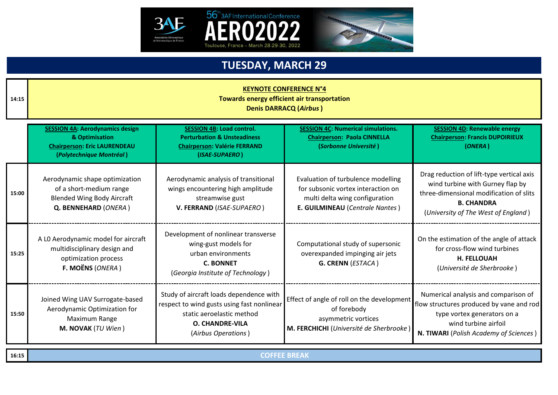



| 14:15 | <b>KEYNOTE CONFERENCE N°4</b><br>Towards energy efficient air transportation<br><b>Denis DARRACQ (Airbus)</b>                                                                                                                                                                                                                                                                                                                                                              |                                                                                                                                            |                                                                                                                                               |                                                                                                                                                                                      |
|-------|----------------------------------------------------------------------------------------------------------------------------------------------------------------------------------------------------------------------------------------------------------------------------------------------------------------------------------------------------------------------------------------------------------------------------------------------------------------------------|--------------------------------------------------------------------------------------------------------------------------------------------|-----------------------------------------------------------------------------------------------------------------------------------------------|--------------------------------------------------------------------------------------------------------------------------------------------------------------------------------------|
|       | <b>SESSION 4C: Numerical simulations.</b><br><b>SESSION 4D: Renewable energy</b><br><b>SESSION 4A: Aerodynamics design</b><br><b>SESSION 4B: Load control.</b><br>& Optimisation<br><b>Chairperson: Francis DUPOIRIEUX</b><br><b>Perturbation &amp; Unsteadiness</b><br><b>Chairperson: Paola CINNELLA</b><br><b>Chairperson: Eric LAURENDEAU</b><br><b>Chairperson: Valérie FERRAND</b><br>(Sorbonne Université)<br>(ONERA)<br>(Polytechnique Montréal)<br>(ISAE-SUPAERO) |                                                                                                                                            |                                                                                                                                               |                                                                                                                                                                                      |
| 15:00 | Aerodynamic shape optimization<br>of a short-medium range<br><b>Blended Wing Body Aircraft</b><br>Q. BENNEHARD (ONERA)                                                                                                                                                                                                                                                                                                                                                     | Aerodynamic analysis of transitional<br>wings encountering high amplitude<br>streamwise gust<br>V. FERRAND (ISAE-SUPAERO)                  | Evaluation of turbulence modelling<br>for subsonic vortex interaction on<br>multi delta wing configuration<br>E. GUILMINEAU (Centrale Nantes) | Drag reduction of lift-type vertical axis<br>wind turbine with Gurney flap by<br>three-dimensional modification of slits<br><b>B. CHANDRA</b><br>(University of The West of England) |
| 15:25 | A LO Aerodynamic model for aircraft<br>multidisciplinary design and<br>optimization process<br>F. MOËNS (ONERA)                                                                                                                                                                                                                                                                                                                                                            | Development of nonlinear transverse<br>wing-gust models for<br>urban environments<br><b>C. BONNET</b><br>(Georgia Institute of Technology) | Computational study of supersonic<br>overexpanded impinging air jets<br>G. CRENN (ESTACA)                                                     | On the estimation of the angle of attack<br>for cross-flow wind turbines<br><b>H. FELLOUAH</b><br>(Université de Sherbrooke)                                                         |
| 15:50 | Study of aircraft loads dependence with<br>Joined Wing UAV Surrogate-based<br>respect to wind gusts using fast nonlinear<br>Aerodynamic Optimization for<br>static aeroelastic method<br>Maximum Range<br><b>O. CHANDRE-VILA</b><br><b>M. NOVAK</b> ( $TU$ Wien)<br>(Airbus Operations)                                                                                                                                                                                    |                                                                                                                                            | Effect of angle of roll on the development<br>of forebody<br>asymmetric vortices<br>M. FERCHICHI (Université de Sherbrooke)                   | Numerical analysis and comparison of<br>flow structures produced by vane and rod<br>type vortex generators on a<br>wind turbine airfoil<br>N. TIWARI (Polish Academy of Sciences)    |

**16:15**

**COFFEE BREAK**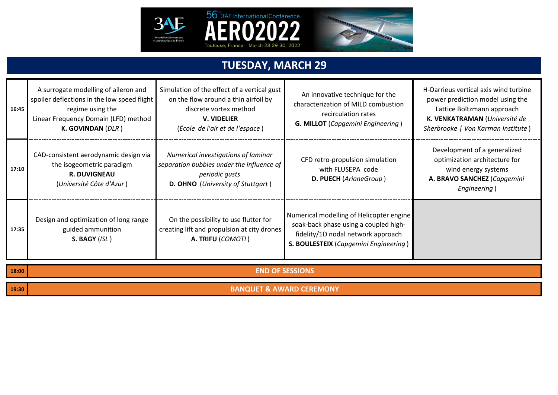



| 16:45 | A surrogate modelling of aileron and<br>spoiler deflections in the low speed flight<br>regime using the<br>Linear Frequency Domain (LFD) method<br>K. GOVINDAN (DLR) | Simulation of the effect of a vertical gust<br>on the flow around a thin airfoil by<br>discrete vortex method<br><b>V. VIDELIER</b><br>(École de l'air et de l'espace) | An innovative technique for the<br>characterization of MILD combustion<br>recirculation rates<br><b>G. MILLOT</b> (Capgemini Engineering)                        | H-Darrieus vertical axis wind turbine<br>power prediction model using the<br>Lattice Boltzmann approach<br>K. VENKATRAMAN (Université de<br>Sherbrooke   Von Karman Institute) |  |
|-------|----------------------------------------------------------------------------------------------------------------------------------------------------------------------|------------------------------------------------------------------------------------------------------------------------------------------------------------------------|------------------------------------------------------------------------------------------------------------------------------------------------------------------|--------------------------------------------------------------------------------------------------------------------------------------------------------------------------------|--|
| 17:10 | CAD-consistent aerodynamic design via<br>the isogeometric paradigm<br><b>R. DUVIGNEAU</b><br>(Université Côte d'Azur)                                                | Numerical investigations of laminar<br>separation bubbles under the influence of<br>periodic gusts<br>D. OHNO (University of Stuttgart)                                | CFD retro-propulsion simulation<br>with FLUSEPA code<br>D. PUECH (ArianeGroup)                                                                                   | Development of a generalized<br>optimization architecture for<br>wind energy systems<br>A. BRAVO SANCHEZ (Capgemini<br>Engineering)                                            |  |
| 17:35 | Design and optimization of long range<br>guided ammunition<br>S. BAGY (ISL)                                                                                          | On the possibility to use flutter for<br>creating lift and propulsion at city drones<br>A. TRIFU (COMOTI)                                                              | Numerical modelling of Helicopter engine<br>soak-back phase using a coupled high-<br>fidelity/1D nodal network approach<br>S. BOULESTEIX (Capgemini Engineering) |                                                                                                                                                                                |  |
| 18:00 | <b>END OF SESSIONS</b>                                                                                                                                               |                                                                                                                                                                        |                                                                                                                                                                  |                                                                                                                                                                                |  |
| 19:30 | <b>BANQUET &amp; AWARD CEREMONY</b>                                                                                                                                  |                                                                                                                                                                        |                                                                                                                                                                  |                                                                                                                                                                                |  |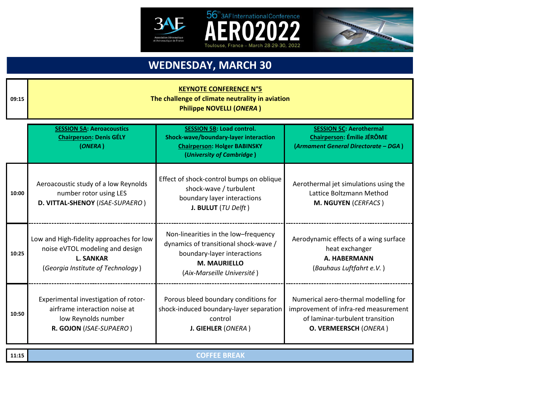



### **WEDNESDAY, MARCH 30**

56<sup>th</sup> 3AF International Conference

Toulouse, France - March 28-29-30, 2022

| 09:15 | <b>KEYNOTE CONFERENCE N°5</b><br>The challenge of climate neutrality in aviation<br><b>Philippe NOVELLI (ONERA)</b>                  |                                                                                                                                                                   |                                                                                                                                          |  |  |
|-------|--------------------------------------------------------------------------------------------------------------------------------------|-------------------------------------------------------------------------------------------------------------------------------------------------------------------|------------------------------------------------------------------------------------------------------------------------------------------|--|--|
|       | <b>SESSION 5A: Aeroacoustics</b><br><b>Chairperson: Denis GÉLY</b><br>(ONERA)                                                        | <b>SESSION 5B: Load control.</b><br>Shock-wave/boundary-layer interaction<br><b>Chairperson: Holger BABINSKY</b><br>(University of Cambridge)                     | <b>SESSION 5C: Aerothermal</b><br><b>Chairperson: Émilie JÉRÔME</b><br>(Armament General Directorate - DGA)                              |  |  |
| 10:00 | Aeroacoustic study of a low Reynolds<br>number rotor using LES<br>D. VITTAL-SHENOY (ISAE-SUPAERO)                                    | Effect of shock-control bumps on oblique<br>shock-wave / turbulent<br>boundary layer interactions<br>J. BULUT (TU Delft)                                          | Aerothermal jet simulations using the<br>Lattice Boltzmann Method<br>M. NGUYEN (CERFACS)                                                 |  |  |
| 10:25 | Low and High-fidelity approaches for low<br>noise eVTOL modeling and design<br><b>L. SANKAR</b><br>(Georgia Institute of Technology) | Non-linearities in the low-frequency<br>dynamics of transitional shock-wave /<br>boundary-layer interactions<br><b>M. MAURIELLO</b><br>(Aix-Marseille Université) | Aerodynamic effects of a wing surface<br>heat exchanger<br>A. HABERMANN<br>(Bauhaus Luftfahrt e.V.)                                      |  |  |
| 10:50 | Experimental investigation of rotor-<br>airframe interaction noise at<br>low Reynolds number<br>R. GOJON (ISAE-SUPAERO)              | Porous bleed boundary conditions for<br>shock-induced boundary-layer separation<br>control<br>J. GIEHLER (ONERA)                                                  | Numerical aero-thermal modelling for<br>improvement of infra-red measurement<br>of laminar-turbulent transition<br>O. VERMEERSCH (ONERA) |  |  |
| 11:15 | <b>COFFEE BREAK</b>                                                                                                                  |                                                                                                                                                                   |                                                                                                                                          |  |  |